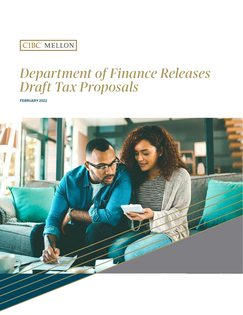## CIBC MELLON

# *Department of Finance Releases Draft Tax Proposals*

**FEBRUARY 2022**

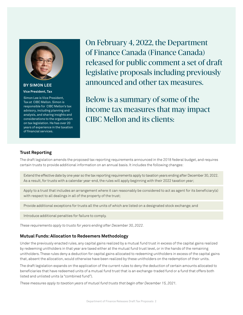

#### **BY SIMON LEE Vice President, Tax**

Simon Lee is Vice President, Tax at CIBC Mellon. Simon is responsible for CIBC Mellon's tax advisory, including planning and analysis, and sharing insights and considerations to the organization on tax legislation. He has over 20 years of experience in the taxation of financial services.

On February 4, 2022, the Department of Finance Canada (Finance Canada) released for public comment a set of draft legislative proposals including previously announced and other tax measures.

Below is a summary of some of the income tax measures that may impact CIBC Mellon and its clients:

#### **Trust Reporting**

The draft legislation amends the proposed tax reporting requirements announced in the 2018 federal budget, and requires certain trusts to provide additional information on an annual basis. It includes the following changes:

Extend the effective date by one year so the tax reporting requirements apply to taxation years ending after December 30, 2022. As a result, for trusts with a calendar year-end, the rules will apply beginning with their 2022 taxation year;

Apply to a trust that includes an arrangement where it can reasonably be considered to act as agent for its beneficiary(s) with respect to all dealings in all of the property of the trust;

Provide additional exceptions for trusts all the units of which are listed on a designated stock exchange; and

Introduce additional penalties for failure to comply.

*These requirements apply to trusts for years ending after December 30, 2022.*

#### **Mutual Funds: Allocation to Redeemers Methodology**

Under the previously enacted rules, any capital gains realized by a mutual fund trust in excess of the capital gains realized by redeeming unitholders in that year are taxed either at the mutual fund trust level, or in the hands of the remaining unitholders. These rules deny a deduction for capital gains allocated to redeeming unitholders in excess of the capital gains that, absent the allocation, would otherwise have been realized by these unitholders on the redemption of their units.

The draft legislation expands on the application of the current rules to deny the deduction of certain amounts allocated to beneficiaries that have redeemed units of a mutual fund trust that is an exchange-traded fund or a fund that offers both listed and unlisted units (a "combined fund").

*These measures apply to taxation years of mutual fund trusts that begin after December 15, 2021.*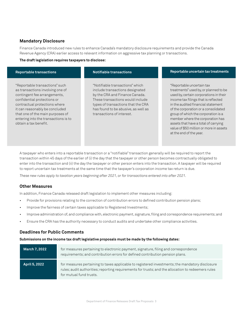#### **Mandatory Disclosure**

Finance Canada introduced new rules to enhance Canada's mandatory disclosure requirements and provide the Canada Revenue Agency (CRA) earlier access to relevant information on aggressive tax planning or transactions.

#### **The draft legislation requires taxpayers to disclose:**

| <b>Reportable transactions</b>                                                                                                                                                                                                                                                                            | <b>Notifiable transactions</b>                                                                                                                                                                                                                     | Reportable uncertain tax treatments                                                                                                                                                                                                                                                                                                                                                                                         |
|-----------------------------------------------------------------------------------------------------------------------------------------------------------------------------------------------------------------------------------------------------------------------------------------------------------|----------------------------------------------------------------------------------------------------------------------------------------------------------------------------------------------------------------------------------------------------|-----------------------------------------------------------------------------------------------------------------------------------------------------------------------------------------------------------------------------------------------------------------------------------------------------------------------------------------------------------------------------------------------------------------------------|
| "Reportable transactions" such<br>as transactions involving one of<br>contingent fee arrangements,<br>confidential protections or<br>contractual protections where<br>it can reasonably be concluded<br>that one of the main purposes of<br>entering into the transactions is to<br>obtain a tax benefit. | "Notifiable transactions" which<br>include transactions designated<br>by the CRA and Finance Canada.<br>These transactions would include<br>types of transactions that the CRA<br>has found to be abusive, as well as<br>transactions of interest. | "Reportable uncertain tax<br>treatments" used by, or planned to be<br>used by, certain corporations in their<br>income tax filings that is reflected<br>in the audited financial statement<br>of the corporation or a consolidated<br>group of which the corporation is a<br>member where the corporation has<br>assets that have a total of carrying<br>value of \$50 million or more in assets<br>at the end of the year. |

A taxpayer who enters into a reportable transaction or a "notifiable" transaction generally will be required to report the transaction within 45 days of the earlier of (i) the day that the taxpayer or other person becomes contractually obligated to enter into the transaction and (ii) the day the taxpayer or other person enters into the transaction. A taxpayer will be required to report uncertain tax treatments at the same time that the taxpayer's corporation income tax return is due.

*These new rules apply to taxation years beginning after 2021, or for transactions entered into after 2021.*

#### **Other Measures**

In addition, Finance Canada released draft legislation to implement other measures including:

- Provide for provisions relating to the correction of contribution errors to defined contribution pension plans;
- Improve the fairness of certain taxes applicable to Registered Investments;
- Improve administration of, and compliance with, electronic payment, signature, filing and correspondence requirements; and
- Ensure the CRA has the authority necessary to conduct audits and undertake other compliance activities.

#### **Deadlines for Public Comments**

**Submissions on the income tax draft legislative proposals must be made by the following dates:** 

| <b>March 7, 2022</b> | for measures pertaining to electronic payment, signature, filing and correspondence<br>requirements; and contribution errors for defined contribution pension plans.                                                             |
|----------------------|----------------------------------------------------------------------------------------------------------------------------------------------------------------------------------------------------------------------------------|
| <b>April 5, 2022</b> | for measures pertaining to taxes applicable to registered investments; the mandatory disclosure<br>rules; audit authorities; reporting requirements for trusts; and the allocation to redeemers rules<br>for mutual fund trusts. |